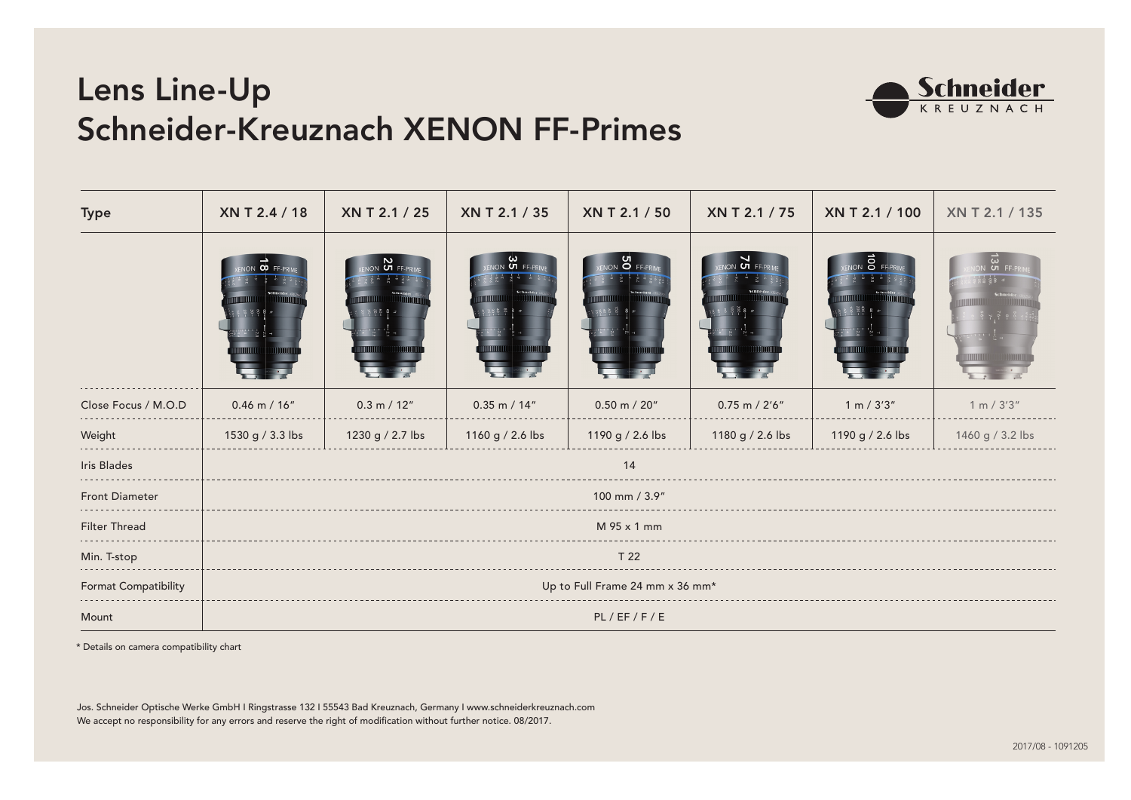## Lens Line-Up Schneider-Kreuznach XENON FF-Primes



| <b>Type</b>           | XN T 2.4 / 18                   | XN T 2.1 / 25    | XN T 2.1 / 35     | XN T 2.1 / 50    | XN T 2.1 / 75      | XN T 2.1 / 100   | XN T 2.1 / 135              |  |  |  |  |
|-----------------------|---------------------------------|------------------|-------------------|------------------|--------------------|------------------|-----------------------------|--|--|--|--|
|                       | $\infty$ Fi                     | ப                | <b>UT FF-PRIM</b> | o                | ப                  | $\sim$           | $\frac{\omega}{\omega}$ FF. |  |  |  |  |
| Close Focus / M.O.D   | $0.46$ m / $16"$                | 0.3 m / 12"      | $0.35$ m / 14"    | $0.50$ m / 20"   | $0.75$ m / $2'6''$ | 1 m / 3'3''      | 1 m / 3'3''                 |  |  |  |  |
| Weight                | 1530 g / 3.3 lbs                | 1230 g / 2.7 lbs | 1160 g / 2.6 lbs  | 1190 g / 2.6 lbs | 1180 g / 2.6 lbs   | 1190 g / 2.6 lbs | 1460 g / 3.2 lbs            |  |  |  |  |
| Iris Blades           | 14                              |                  |                   |                  |                    |                  |                             |  |  |  |  |
| <b>Front Diameter</b> | 100 mm / 3.9"                   |                  |                   |                  |                    |                  |                             |  |  |  |  |
| Filter Thread         | M 95 x 1 mm                     |                  |                   |                  |                    |                  |                             |  |  |  |  |
| Min. T-stop           | T 22                            |                  |                   |                  |                    |                  |                             |  |  |  |  |
| Format Compatibility  | Up to Full Frame 24 mm x 36 mm* |                  |                   |                  |                    |                  |                             |  |  |  |  |
| Mount                 | PL/EF/F/E                       |                  |                   |                  |                    |                  |                             |  |  |  |  |

\* Details on camera compatibility chart

Jos. Schneider Optische Werke GmbH I Ringstrasse 132 I 55543 Bad Kreuznach, Germany I www.schneiderkreuznach.com We accept no responsibility for any errors and reserve the right of modification without further notice. 08/2017.